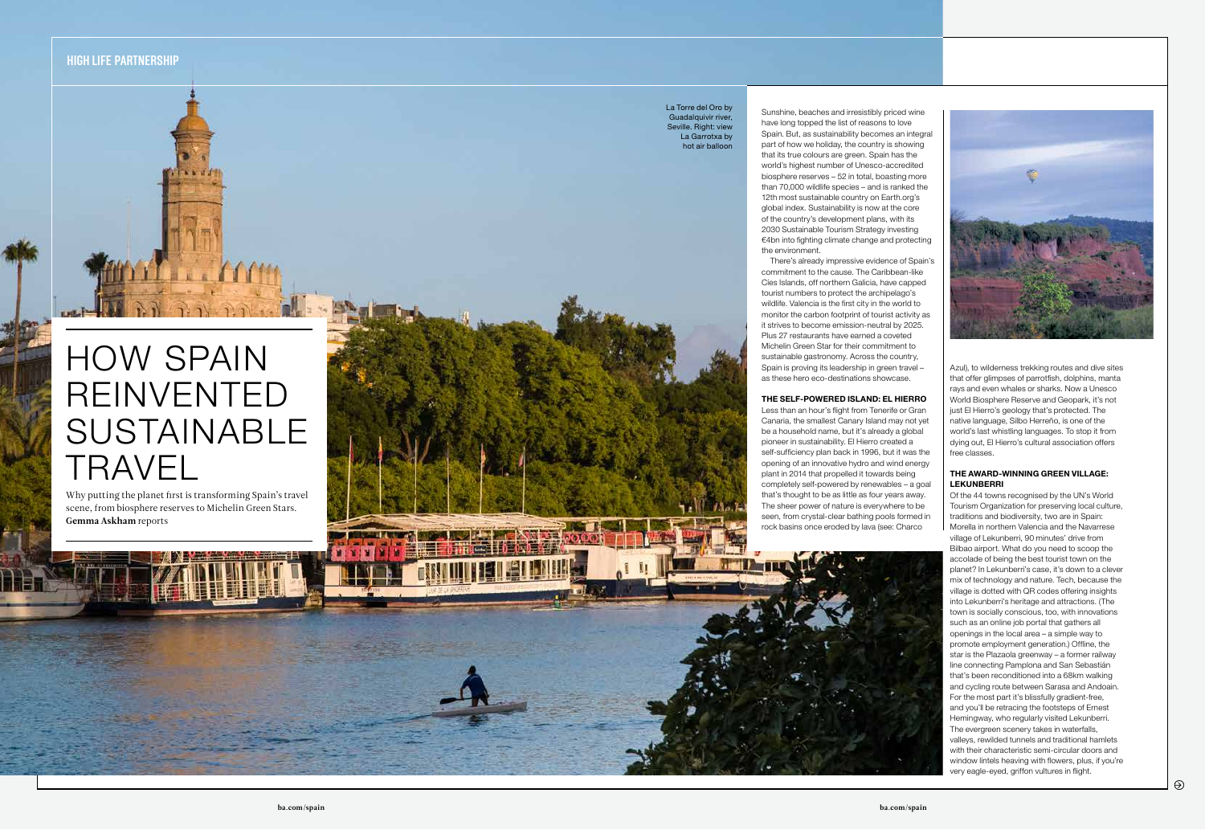Azul), to wilderness trekking routes and dive sites that offer glimpses of parrotfish, dolphins, manta rays and even whales or sharks. Now a Unesco World Biosphere Reserve and Geopark, it's not just El Hierro's geology that's protected. The native language, Silbo Herreño, is one of the world's last whistling languages. To stop it from dying out, El Hierro's cultural association offers free classes.

## THE AWARD-WINNING GREEN VILLAGE: LEKUNBERRI

Of the 44 towns recognised by the UN's World Tourism Organization for preserving local culture, traditions and biodiversity, two are in Spain: Morella in northern Valencia and the Navarrese village of Lekunberri, 90 minutes' drive from Bilbao airport. What do you need to scoop the accolade of being the best tourist town on the planet? In Lekunberri's case, it's down to a clever mix of technology and nature. Tech, because the village is dotted with QR codes offering insights into Lekunberri's heritage and attractions. (The town is socially conscious, too, with innovations such as an online job portal that gathers all openings in the local area – a simple way to promote employment generation.) Offline, the star is the Plazaola greenway – a former railway line connecting Pamplona and San Sebastián that's been reconditioned into a 68km walking and cycling route between Sarasa and Andoain. For the most part it's blissfully gradient-free, and you'll be retracing the footsteps of Ernest Hemingway, who regularly visited Lekunberri. The evergreen scenery takes in waterfalls, valleys, rewilded tunnels and traditional hamlets with their characteristic semi-circular doors and window lintels heaving with flowers, plus, if you're very eagle-eyed, griffon vultures in flight.





Sunshine, beaches and irresistibly priced wine have long topped the list of reasons to love Spain. But, as sustainability becomes an integral part of how we holiday, the country is showing that its true colours are green. Spain has the world's highest number of Unesco-accredited biosphere reserves – 52 in total, boasting more than 70,000 wildlife species – and is ranked the 12th most sustainable country on Earth.org's global index. Sustainability is now at the core of the country's development plans, with its 2030 Sustainable Tourism Strategy investing €4bn into fighting climate change and protecting the environment.

There's already impressive evidence of Spain's commitment to the cause. The Caribbean-like Cíes Islands, off northern Galicia, have capped tourist numbers to protect the archipelago's wildlife. Valencia is the first city in the world to monitor the carbon footprint of tourist activity as it strives to become emission-neutral by 2025. Plus 27 restaurants have earned a coveted Michelin Green Star for their commitment to sustainable gastronomy. Across the country, Spain is proving its leadership in green travel – as these hero eco-destinations showcase.

## THE SELF-POWERED ISLAND: EL HIERRO

Less than an hour's flight from Tenerife or Gran Canaria, the smallest Canary Island may not yet be a household name, but it's already a global pioneer in sustainability. El Hierro created a self-sufficiency plan back in 1996, but it was the opening of an innovative hydro and wind energy plant in 2014 that propelled it towards being completely self-powered by renewables – a goal that's thought to be as little as four years away. The sheer power of nature is everywhere to be seen, from crystal-clear bathing pools formed in rock basins once eroded by lava (see: Charco

**HIGH LIFE PARTNERSHIP**

Why putting the planet first is transforming Spain's travel scene, from biosphere reserves to Michelin Green Stars. **Gemma Askham** reports

# HOW SPAIN REINVENTED SUSTAINABLE TRAVEL

La Torre del Oro by Guadalquivir river, Seville. Right: view La Garrotxa by hot air balloon